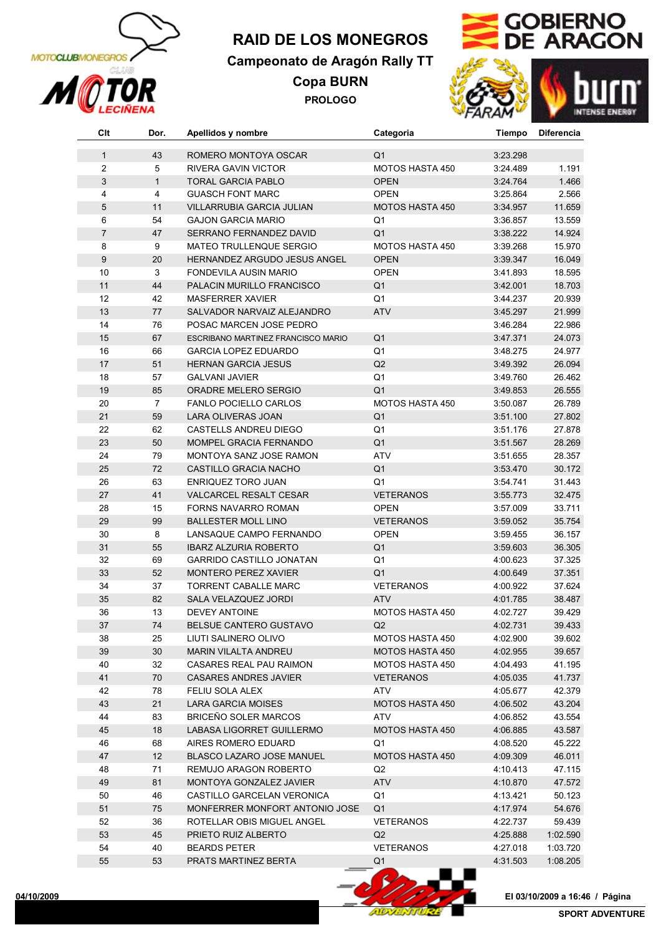

# **RAID DE LOS MONEGROS**

## **Campeonato de Aragón Rally TT**

**Copa BURN PROLOGO**





| Clt            | Dor.           | Apellidos y nombre                  | Categoria              | Tiempo   | <b>Diferencia</b> |
|----------------|----------------|-------------------------------------|------------------------|----------|-------------------|
| $\mathbf{1}$   | 43             | ROMERO MONTOYA OSCAR                | Q <sub>1</sub>         | 3:23.298 |                   |
| $\overline{2}$ | 5              | <b>RIVERA GAVIN VICTOR</b>          | <b>MOTOS HASTA 450</b> | 3:24.489 | 1.191             |
| 3              | $\mathbf{1}$   | <b>TORAL GARCIA PABLO</b>           | <b>OPEN</b>            | 3:24.764 | 1.466             |
| 4              | 4              | <b>GUASCH FONT MARC</b>             | <b>OPEN</b>            | 3:25.864 | 2.566             |
| $\sqrt{5}$     | 11             | VILLARRUBIA GARCIA JULIAN           | <b>MOTOS HASTA 450</b> | 3:34.957 | 11.659            |
| 6              | 54             | <b>GAJON GARCIA MARIO</b>           | Q1                     | 3:36.857 | 13.559            |
| $\overline{7}$ | 47             | SERRANO FERNANDEZ DAVID             | Q <sub>1</sub>         | 3:38.222 | 14.924            |
| 8              | 9              | MATEO TRULLENQUE SERGIO             | <b>MOTOS HASTA 450</b> | 3:39.268 | 15.970            |
| $9\,$          | 20             | <b>HERNANDEZ ARGUDO JESUS ANGEL</b> | <b>OPEN</b>            | 3:39.347 | 16.049            |
| 10             | 3              | FONDEVILA AUSIN MARIO               | <b>OPEN</b>            | 3:41.893 | 18.595            |
| 11             | 44             | PALACIN MURILLO FRANCISCO           | Q <sub>1</sub>         | 3:42.001 | 18.703            |
| 12             | 42             | <b>MASFERRER XAVIER</b>             | Q1                     | 3:44.237 | 20.939            |
| 13             | 77             | SALVADOR NARVAIZ ALEJANDRO          | <b>ATV</b>             | 3:45.297 | 21.999            |
| 14             | 76             | POSAC MARCEN JOSE PEDRO             |                        | 3:46.284 | 22.986            |
| 15             | 67             | ESCRIBANO MARTINEZ FRANCISCO MARIO  | Q <sub>1</sub>         | 3:47.371 | 24.073            |
| 16             | 66             | <b>GARCIA LOPEZ EDUARDO</b>         | Q <sub>1</sub>         | 3:48.275 | 24.977            |
| 17             | 51             | <b>HERNAN GARCIA JESUS</b>          | Q2                     | 3:49.392 | 26.094            |
| 18             | 57             | <b>GALVANI JAVIER</b>               | Q <sub>1</sub>         | 3:49.760 | 26.462            |
| 19             | 85             | ORADRE MELERO SERGIO                | Q <sub>1</sub>         | 3:49.853 | 26.555            |
| 20             | $\overline{7}$ | FANLO POCIELLO CARLOS               | MOTOS HASTA 450        | 3:50.087 | 26.789            |
| 21             | 59             | <b>LARA OLIVERAS JOAN</b>           | Q <sub>1</sub>         | 3:51.100 | 27.802            |
| 22             | 62             | <b>CASTELLS ANDREU DIEGO</b>        | Q1                     | 3:51.176 | 27.878            |
| 23             | 50             | MOMPEL GRACIA FERNANDO              | Q <sub>1</sub>         | 3:51.567 | 28.269            |
| 24             | 79             | MONTOYA SANZ JOSE RAMON             | <b>ATV</b>             | 3:51.655 | 28.357            |
| 25             | 72             | CASTILLO GRACIA NACHO               | Q <sub>1</sub>         | 3:53.470 | 30.172            |
| 26             | 63             | ENRIQUEZ TORO JUAN                  | Q <sub>1</sub>         | 3:54.741 | 31.443            |
| 27             | 41             | VALCARCEL RESALT CESAR              | <b>VETERANOS</b>       | 3:55.773 | 32.475            |
| 28             | 15             | FORNS NAVARRO ROMAN                 | <b>OPEN</b>            | 3:57.009 | 33.711            |
| 29             | 99             | <b>BALLESTER MOLL LINO</b>          | <b>VETERANOS</b>       | 3:59.052 | 35.754            |
| 30             | 8              | LANSAQUE CAMPO FERNANDO             | <b>OPEN</b>            | 3:59.455 | 36.157            |
| 31             | 55             | <b>IBARZ ALZURIA ROBERTO</b>        | Q <sub>1</sub>         | 3:59.603 | 36.305            |
| 32             | 69             | <b>GARRIDO CASTILLO JONATAN</b>     | Q <sub>1</sub>         | 4:00.623 | 37.325            |
| 33             | 52             | MONTERO PEREZ XAVIER                | Q <sub>1</sub>         | 4:00.649 | 37.351            |
| 34             | 37             | <b>TORRENT CABALLE MARC</b>         | <b>VETERANOS</b>       | 4:00.922 | 37.624            |
| 35             | 82             | SALA VELAZQUEZ JORDI                | <b>ATV</b>             | 4:01.785 | 38.487            |
| 36             | 13             | <b>DEVEY ANTOINE</b>                | <b>MOTOS HASTA 450</b> | 4:02.727 | 39.429            |
| 37             | 74             | BELSUE CANTERO GUSTAVO              | Q2                     | 4:02.731 | 39.433            |
| 38             | 25             | LIUTI SALINERO OLIVO                | MOTOS HASTA 450        | 4:02.900 | 39.602            |
| 39             | 30             | MARIN VILALTA ANDREU                | MOTOS HASTA 450        | 4:02.955 | 39.657            |
| 40             | 32             | <b>CASARES REAL PAU RAIMON</b>      | <b>MOTOS HASTA 450</b> | 4:04.493 | 41.195            |
| 41             | 70             | <b>CASARES ANDRES JAVIER</b>        | <b>VETERANOS</b>       | 4:05.035 | 41.737            |
| 42             | 78             | FELIU SOLA ALEX                     | ATV                    | 4:05.677 | 42.379            |
| 43             | 21             | LARA GARCIA MOISES                  | <b>MOTOS HASTA 450</b> | 4:06.502 | 43.204            |
| 44             | 83             | <b>BRICEÑO SOLER MARCOS</b>         | <b>ATV</b>             | 4:06.852 | 43.554            |
| 45             | 18             | LABASA LIGORRET GUILLERMO           | <b>MOTOS HASTA 450</b> | 4:06.885 | 43.587            |
| 46             | 68             | AIRES ROMERO EDUARD                 | Q1                     | 4:08.520 | 45.222            |
| 47             | 12             | BLASCO LAZARO JOSE MANUEL           | <b>MOTOS HASTA 450</b> | 4:09.309 | 46.011            |
| 48             | 71             | REMUJO ARAGON ROBERTO               | Q2                     | 4:10.413 | 47.115            |
| 49             | 81             | <b>MONTOYA GONZALEZ JAVIER</b>      | <b>ATV</b>             | 4:10.870 | 47.572            |
| 50             | 46             | CASTILLO GARCELAN VERONICA          | Q1                     | 4:13.421 | 50.123            |
| 51             | 75             | MONFERRER MONFORT ANTONIO JOSE      | Q1                     | 4:17.974 | 54.676            |
| 52             | 36             | ROTELLAR OBIS MIGUEL ANGEL          | <b>VETERANOS</b>       | 4:22.737 | 59.439            |
| 53             | 45             | PRIETO RUIZ ALBERTO                 | Q2                     | 4:25.888 | 1:02.590          |
| 54             | 40             | <b>BEARDS PETER</b>                 | <b>VETERANOS</b>       | 4:27.018 | 1:03.720          |
| 55             | 53             | PRATS MARTINEZ BERTA                | Q <sub>1</sub>         | 4:31.503 | 1:08.205          |
|                |                |                                     |                        |          |                   |

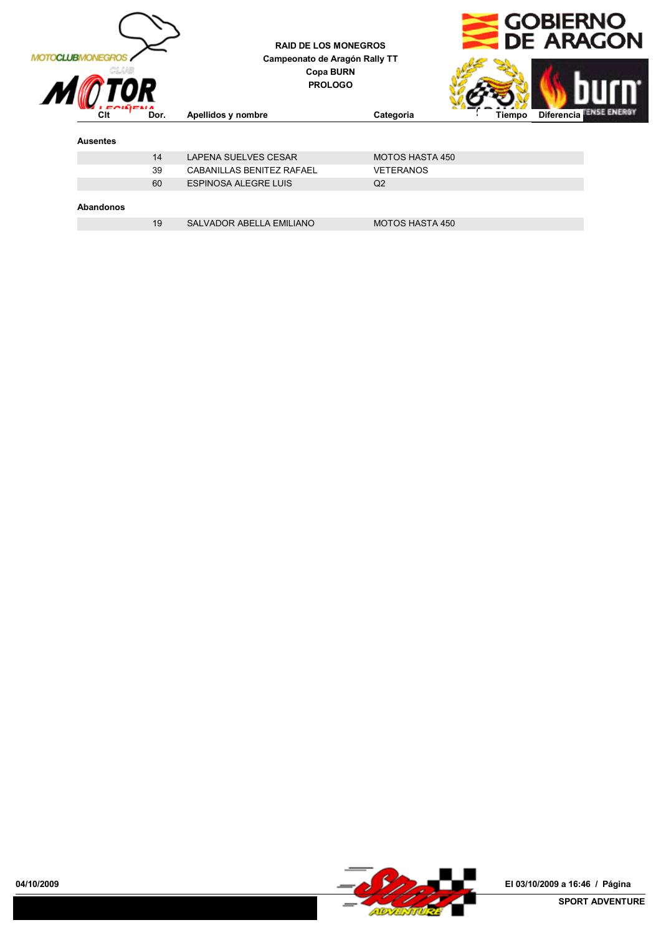

**RAID DE LOS MONEGROS Campeonato de Aragón Rally TT Copa BURN PROLOGO**



### **Click Club Categoria Categoria Categoria Categoria Club Categoria Club Club Club Club Club Club Club Club Club Club Club Club Club Club Club Club Club Club Club Club C Ausentes** 14 LAPENA SUELVES CESAR MOTOS HASTA 450 39 CABANILLAS BENITEZ RAFAEL VETERANOS 60 ESPINOSA ALEGRE LUIS Q2 **Abandonos** 19 SALVADOR ABELLA EMILIANO MOTOS HASTA 450

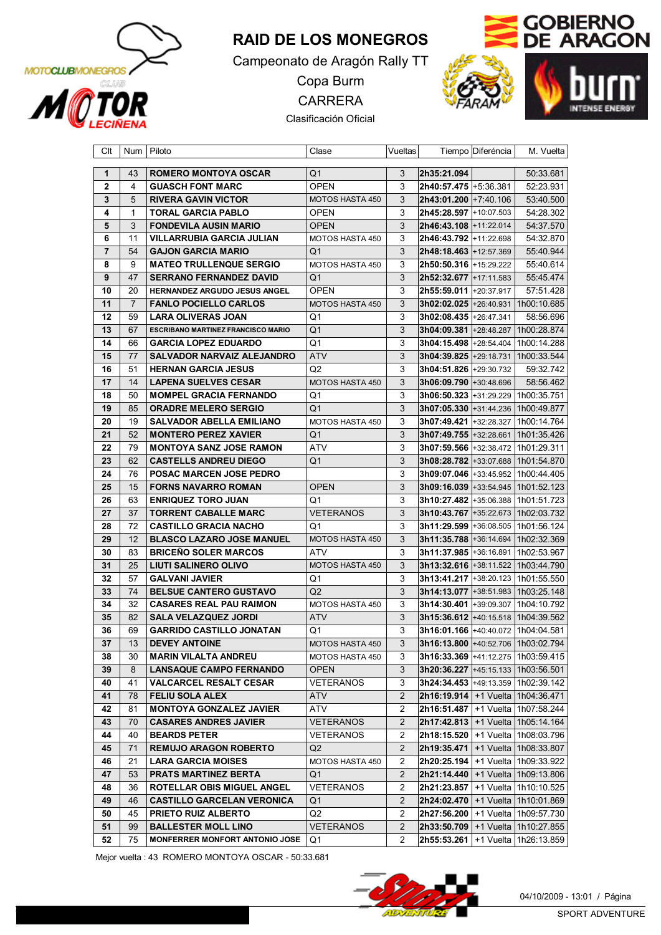

## **RAID DE LOS MONEGROS**

Campeonato de Aragón Rally TT

Copa Burm CARRERA

Clasificación Oficial



| Clt      | Num            | Piloto                                              | Clase                              | Vueltas               |                                                                                     | Tiempo Diferéncia | M. Vuelta   |
|----------|----------------|-----------------------------------------------------|------------------------------------|-----------------------|-------------------------------------------------------------------------------------|-------------------|-------------|
| 1        | 43             | <b>ROMERO MONTOYA OSCAR</b>                         | Q1                                 | 3                     | 2h35:21.094                                                                         |                   | 50:33.681   |
| 2        | 4              | <b>GUASCH FONT MARC</b>                             | <b>OPEN</b>                        | 3                     | <b>2h40:57.475</b> +5:36.381                                                        |                   | 52:23.931   |
| 3        | 5              | <b>RIVERA GAVIN VICTOR</b>                          | MOTOS HASTA 450                    | 3                     | <b>2h43:01.200</b> +7:40.106                                                        |                   | 53:40.500   |
| 4        | $\mathbf{1}$   | <b>TORAL GARCIA PABLO</b>                           | OPEN                               | 3                     | 2h45:28.597 +10:07.503                                                              |                   | 54:28.302   |
| 5        | 3              | <b>FONDEVILA AUSIN MARIO</b>                        | <b>OPEN</b>                        | 3                     | <b>2h46:43.108</b> +11:22.014                                                       |                   | 54:37.570   |
| 6        | 11             | <b>VILLARRUBIA GARCIA JULIAN</b>                    | MOTOS HASTA 450                    | 3                     | <b>2h46:43.792</b> +11:22.698                                                       |                   | 54:32.870   |
| 7        | 54             | <b>GAJON GARCIA MARIO</b>                           | Q1                                 | 3                     | <b>2h48:18.463</b> +12:57.369                                                       |                   | 55:40.944   |
| 8        | 9              | <b>MATEO TRULLENQUE SERGIO</b>                      | MOTOS HASTA 450                    | 3                     |                                                                                     |                   | 55:40.614   |
| 9        | 47             | <b>SERRANO FERNANDEZ DAVID</b>                      | Q1                                 | 3                     | <b>2h52:32.677</b> +17:11.583                                                       |                   | 55:45.474   |
| 10       | 20             | HERNANDEZ ARGUDO JESUS ANGEL                        | <b>OPEN</b>                        | 3                     | <b>2h55:59.011</b> +20:37.917                                                       |                   | 57:51.428   |
| 11       | $\overline{7}$ | <b>FANLO POCIELLO CARLOS</b>                        | MOTOS HASTA 450                    | 3                     | <b>3h02:02.025</b> +26:40.931 1h00:10.685                                           |                   |             |
| 12       | 59             | <b>LARA OLIVERAS JOAN</b>                           | Q1                                 | 3                     | 3h02:08.435 +26:47.341                                                              |                   | 58:56.696   |
| 13       | 67             | <b>ESCRIBANO MARTINEZ FRANCISCO MARIO</b>           | Q1                                 | 3                     | <b>3h04:09.381</b> +28:48.287   1h00:28.874                                         |                   |             |
| 14       | 66             | <b>GARCIA LOPEZ EDUARDO</b>                         | Q1                                 | 3                     | <b>3h04:15.498</b> +28:54.404   1h00:14.288                                         |                   |             |
| 15       | 77             | SALVADOR NARVAIZ ALEJANDRO                          | ATV                                | 3                     | 3h04:39.825 +29:18.731                                                              |                   | 1h00:33.544 |
| 16       | 51             | <b>HERNAN GARCIA JESUS</b>                          | Q2                                 | 3                     | <b>3h04:51.826 +29:30.732</b>                                                       |                   | 59:32.742   |
| 17       | 14             | <b>LAPENA SUELVES CESAR</b>                         | <b>MOTOS HASTA 450</b>             | 3                     | <b>3h06:09.790</b> +30:48.696                                                       |                   | 58:56.462   |
| 18       | 50             | <b>MOMPEL GRACIA FERNANDO</b>                       | Q1                                 | 3                     |                                                                                     |                   |             |
| 19       | 85             | <b>ORADRE MELERO SERGIO</b>                         | Q1                                 | 3                     | <b>3h07:05.330</b> +31:44.236 1h00:49.877                                           |                   |             |
| 20       | 19             | <b>SALVADOR ABELLA EMILIANO</b>                     | MOTOS HASTA 450                    | 3                     |                                                                                     |                   |             |
| 21       | 52             | <b>MONTERO PEREZ XAVIER</b>                         | Q1                                 | 3                     | <b>3h07:49.755</b> +32:28.661   1h01:35.426                                         |                   |             |
| 22       | 79             | <b>MONTOYA SANZ JOSE RAMON</b>                      | ATV                                | 3                     |                                                                                     |                   |             |
| 23       | 62             | <b>CASTELLS ANDREU DIEGO</b>                        | Q1                                 | 3                     | <b>3h08:28.782</b> +33:07.688   1h01:54.870                                         |                   |             |
| 24       | 76             | POSAC MARCEN JOSE PEDRO                             |                                    | 3                     |                                                                                     |                   |             |
| 25       | 15             | <b>FORNS NAVARRO ROMAN</b>                          | <b>OPEN</b>                        | 3                     | $3h09:16.039$ +33:54.945   1h01:52.123                                              |                   |             |
| 26       | 63             | <b>ENRIQUEZ TORO JUAN</b>                           | Q1                                 | 3                     |                                                                                     |                   |             |
| 27       | 37             | <b>TORRENT CABALLE MARC</b>                         | <b>VETERANOS</b>                   | 3                     | 3h10:43.767 +35:22.673 1h02:03.732                                                  |                   |             |
| 28       | 72             | <b>CASTILLO GRACIA NACHO</b>                        | Q1                                 | 3                     | 3h11:29.599 +36:08.505 1h01:56.124                                                  |                   |             |
| 29       | 12             | <b>BLASCO LAZARO JOSE MANUEL</b>                    | MOTOS HASTA 450                    | 3                     | 3h11:35.788 +36:14.694                                                              |                   | 1h02:32.369 |
| 30       | 83             | <b>BRICENO SOLER MARCOS</b>                         | ATV                                | 3                     |                                                                                     |                   |             |
| 31       | 25             | <b>LIUTI SALINERO OLIVO</b>                         | MOTOS HASTA 450                    | 3                     | <b>3h13:32.616</b> +38:11.522   1h03:44.790                                         |                   |             |
| 32       | 57             | <b>GALVANI JAVIER</b>                               | Q1                                 | 3                     | <b>3h13:41.217</b> +38:20.123   1h01:55.550                                         |                   |             |
| 33       | 74             | <b>BELSUE CANTERO GUSTAVO</b>                       | Q2                                 | 3                     | <b>3h14:13.077</b> +38:51.983 1h03:25.148                                           |                   |             |
| 34       | 32             | <b>CASARES REAL PAU RAIMON</b>                      | MOTOS HASTA 450                    | 3                     |                                                                                     |                   |             |
| 35       | 82             | <b>SALA VELAZQUEZ JORDI</b>                         | ATV                                | 3                     | <b>3h15:36.612</b> +40:15.518 1h04:39.562                                           |                   |             |
| 36       | 69             | <b>GARRIDO CASTILLO JONATAN</b>                     | Q1                                 | 3                     | 3h16:01.166 +40:40.072   1h04:04.581                                                |                   |             |
| 37       |                |                                                     |                                    | 3                     | <b>3h16:13.800</b> +40:52.706 1h03:02.794                                           |                   |             |
| 38       | 13<br>30       | <b>DEVEY ANTOINE</b><br><b>MARIN VILALTA ANDREU</b> | MOTOS HASTA 450<br>MOTOS HASTA 450 | 3                     | <b>3h16:33.369</b>  +41:12.275   1h03:59.415                                        |                   |             |
| 39       | 8              | <b>LANSAQUE CAMPO FERNANDO</b>                      | <b>OPEN</b>                        | 3                     | $3h20:36.227$ +45:15.133   1h03:56.501                                              |                   |             |
| 40       | 41             | <b>VALCARCEL RESALT CESAR</b>                       | VETERANOS                          | 3                     | 3h24:34.453 +49:13.359 1h02:39.142                                                  |                   |             |
|          | 78             | <b>FELIU SOLA ALEX</b>                              |                                    | $\mathbf{2}^{\prime}$ |                                                                                     |                   |             |
| 41<br>42 | 81             | <b>MONTOYA GONZALEZ JAVIER</b>                      | ATV                                | 2                     | <b>2h16:19.914</b>   +1 Vuelta   1h04:36.471<br>$2h16:51.487$ +1 Vuelta 1h07:58.244 |                   |             |
| 43       | 70             | <b>CASARES ANDRES JAVIER</b>                        | ATV<br><b>VETERANOS</b>            | $\overline{2}$        | $2h17:42.813$ +1 Vuelta 1h05:14.164                                                 |                   |             |
| 44       | 40             |                                                     |                                    | 2                     |                                                                                     |                   |             |
| 45       | 71             | <b>BEARDS PETER</b><br><b>REMUJO ARAGON ROBERTO</b> | VETERANOS                          | $\overline{2}$        | <b>2h18:15.520</b>   +1 Vuelta   1h08:03.796<br>$2h19:35.471$ +1 Vuelta 1h08:33.807 |                   |             |
| 46       | 21             | <b>LARA GARCIA MOISES</b>                           | Q2<br>MOTOS HASTA 450              |                       | 2h20:25.194   +1 Vuelta   1h09:33.922                                               |                   |             |
|          |                |                                                     |                                    | 2                     | $2h21:14.440$ +1 Vuelta 1h09:13.806                                                 |                   |             |
| 47       | 53             | <b>PRATS MARTINEZ BERTA</b>                         | Q1                                 | $\mathbf{2}$          |                                                                                     |                   |             |
| 48       | 36             | ROTELLAR OBIS MIGUEL ANGEL                          | VETERANOS                          | 2                     | <b>2h21:23.857</b>   +1 Vuelta   1h10:10.525                                        |                   |             |
| 49       | 46             | <b>CASTILLO GARCELAN VERONICA</b>                   | Q1                                 | $\mathbf{2}$          | <b>2h24:02.470</b>   +1 Vuelta   1h10:01.869                                        |                   |             |
| 50       | 45             | PRIETO RUIZ ALBERTO                                 | Q2                                 | 2                     | <b>2h27:56.200</b>   +1 Vuelta   1h09:57.730                                        |                   |             |
| 51       | 99             | <b>BALLESTER MOLL LINO</b>                          | VETERANOS                          | $\mathbf{2}$          | $2h33:50.709$   +1 Vuelta   1h10:27.855                                             |                   |             |
| 52       | 75             | <b>MONFERRER MONFORT ANTONIO JOSE</b>               | Q1                                 | 2                     | $2h55:53.261$ +1 Vuelta 1h26:13.859                                                 |                   |             |

Mejor vuelta : 43 ROMERO MONTOYA OSCAR - 50:33.681

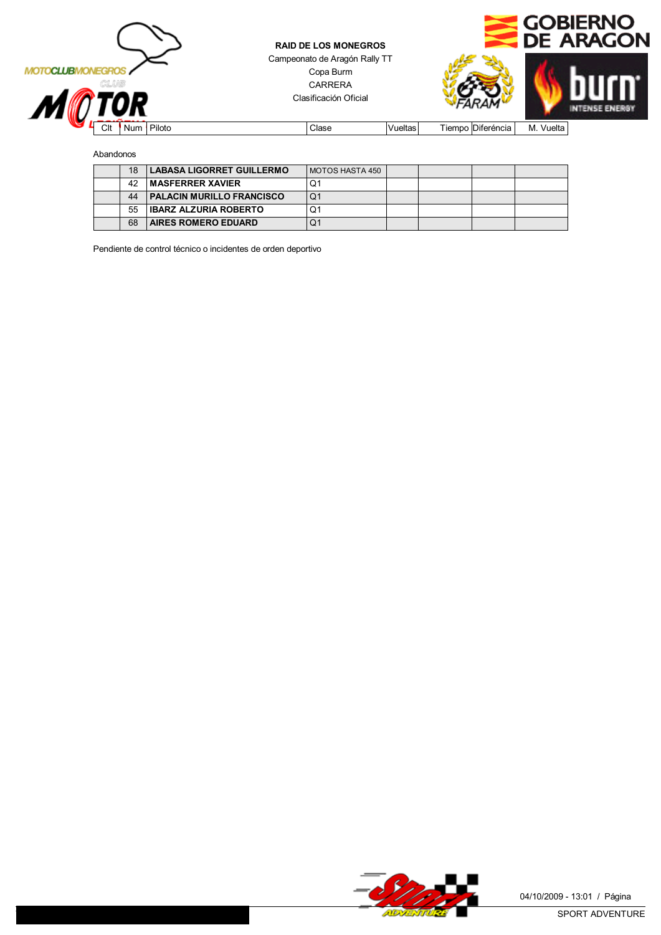



Abandonos

| 18 | <b>LABASA LIGORRET GUILLERMO</b> | MOTOS HASTA 450 |  |  |
|----|----------------------------------|-----------------|--|--|
| 42 | ∣ MASFERRER XAVIER               | O.              |  |  |
| 44 | <b>PALACIN MURILLO FRANCISCO</b> | Q1              |  |  |
| 55 | <b>IBARZ ALZURIA ROBERTO</b>     | O۱              |  |  |
| 68 | <b>AIRES ROMERO EDUARD</b>       | O.              |  |  |

Pendiente de control técnico o incidentes de orden deportivo

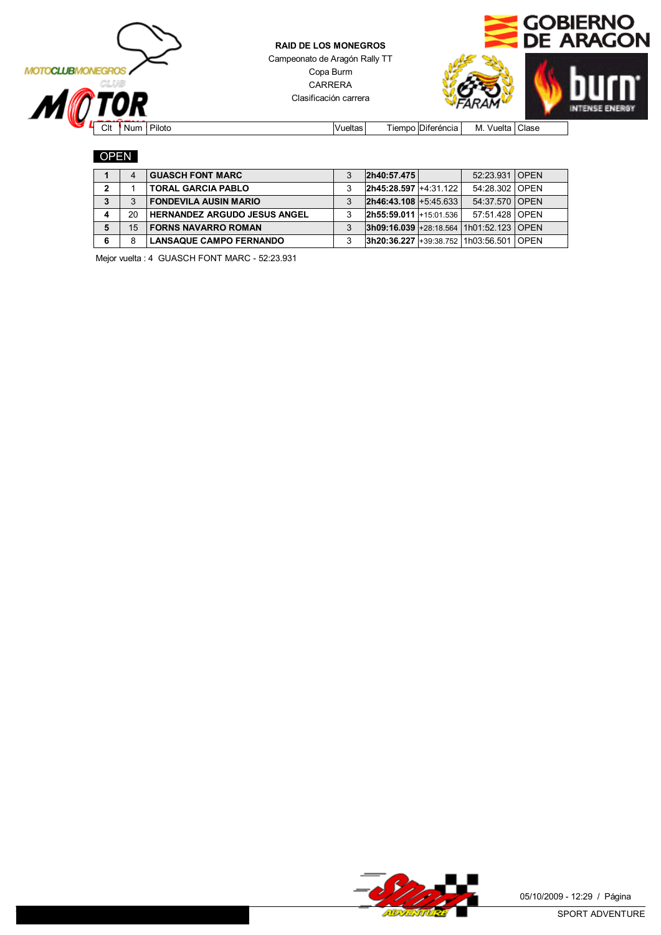



Clt Num Piloto Vueltas Tiempo Diferéncia M. Vuelta Clase

#### OPEN

|   |    | <b>GUASCH FONT MARC</b>             | 3 | 2h40:57.475                                | 52:23.931 OPEN |      |
|---|----|-------------------------------------|---|--------------------------------------------|----------------|------|
| , |    | <b>TORAL GARCIA PABLO</b>           |   | <b>2h45:28.597 +4:31.122  </b>             | 54:28.302 OPEN |      |
| 3 | 3  | <b>FONDEVILA AUSIN MARIO</b>        |   | $2h46:43.108 + 5:45.633$                   | 54:37.570 OPEN |      |
|   | 20 | <b>HERNANDEZ ARGUDO JESUS ANGEL</b> | 3 | $2h55:59.011 + 15:01.536$                  | 57:51.428 OPEN |      |
|   | 15 | <b>FORNS NAVARRO ROMAN</b>          |   | $ 3h09:16.039 +28:18.564 1h01:52.123 OPEN$ |                |      |
|   | 8  | <b>LANSAQUE CAMPO FERNANDO</b>      | 3 | $3h20:36.227$ +39:38.752 1h03:56.501       |                | OPFN |

Mejor vuelta : 4 GUASCH FONT MARC - 52:23.931

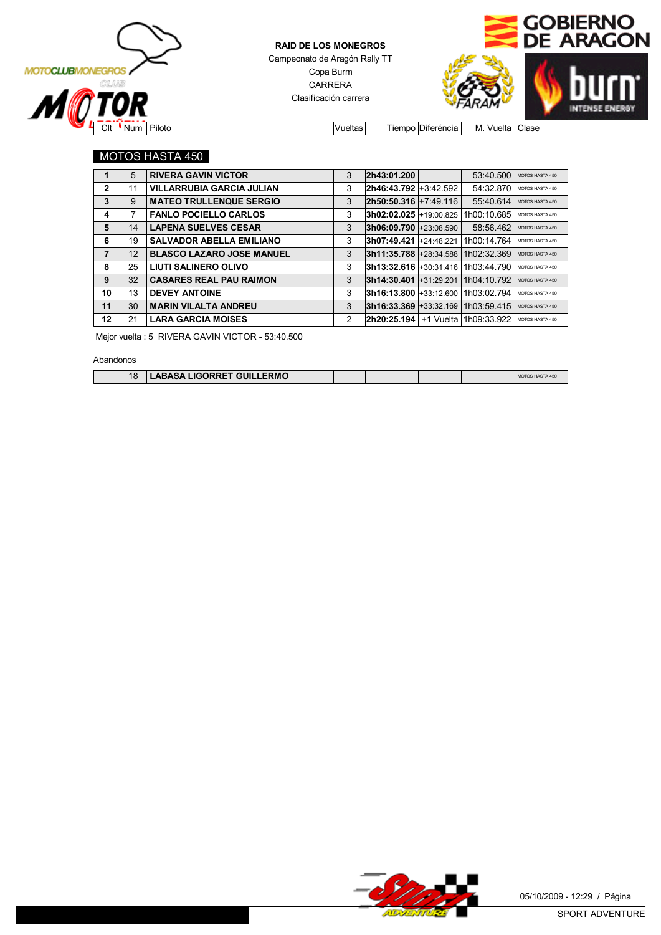



Clt Num Piloto Vueltas Tiempo Diferéncia M. Vuelta Clase

#### MOTOS HASTA 450

| 1              | 5  | <b>RIVERA GAVIN VICTOR</b>       | 3 | 2h43:01.200               | 53:40.500               | MOTOS HASTA 450 |
|----------------|----|----------------------------------|---|---------------------------|-------------------------|-----------------|
| $\overline{2}$ | 11 | <b>VILLARRUBIA GARCIA JULIAN</b> | 3 | $2h46:43.792 + 3:42.592$  | 54:32.870               | MOTOS HASTA 450 |
| 3              | 9  | <b>MATEO TRULLENQUE SERGIO</b>   | 3 | $2h50:50.316 + 7:49.116$  | 55:40.614               | MOTOS HASTA 450 |
| 4              | 7  | <b>FANLO POCIELLO CARLOS</b>     | 3 | $3h02:02.025 + 19:00.825$ | 1h00:10.685             | MOTOS HASTA 450 |
| 5              | 14 | <b>LAPENA SUELVES CESAR</b>      | 3 | $ 3h06:09.790 +23:08.590$ | 58:56.462               | MOTOS HASTA 450 |
| 6              | 19 | <b>SALVADOR ABELLA EMILIANO</b>  | 3 | 3h07:49.421 +24:48.221    | 1h00:14.764             | MOTOS HASTA 450 |
| $\overline{7}$ | 12 | <b>BLASCO LAZARO JOSE MANUEL</b> | 3 | $ 3h11:35.788 +28:34.588$ | 1h02:32.369             | MOTOS HASTA 450 |
| 8              | 25 | LIUTI SALINERO OLIVO             | 3 | $3h13:32.616 + 30:31.416$ | 1h03:44.790             | MOTOS HASTA 450 |
| 9              | 32 | <b>CASARES REAL PAU RAIMON</b>   | 3 | $ 3h14:30.401 +31.29.201$ | 1h04:10.792             | MOTOS HASTA 450 |
| 10             | 13 | <b>DEVEY ANTOINE</b>             | 3 | $ 3h16:13.800 +33:12.600$ | 1h03:02.794             | MOTOS HASTA 450 |
| 11             | 30 | <b>MARIN VILALTA ANDREU</b>      | 3 | $ 3h16:33.369 +33.32.169$ | 1h03:59.415             | MOTOS HASTA 450 |
| 12             | 21 | <b>LARA GARCIA MOISES</b>        | 2 | 2h20:25.194               | +1 Vuelta   1h09:33.922 | MOTOS HASTA 450 |

Mejor vuelta : 5 RIVERA GAVIN VICTOR - 53:40.500

Abandonos

 $\overline{\phantom{a}}$ 

| 18 | LIGORRET GUILLERMO<br>$C$ $\Lambda$<br>LIGURREI<br>ADASA ' |  |  | . |
|----|------------------------------------------------------------|--|--|---|

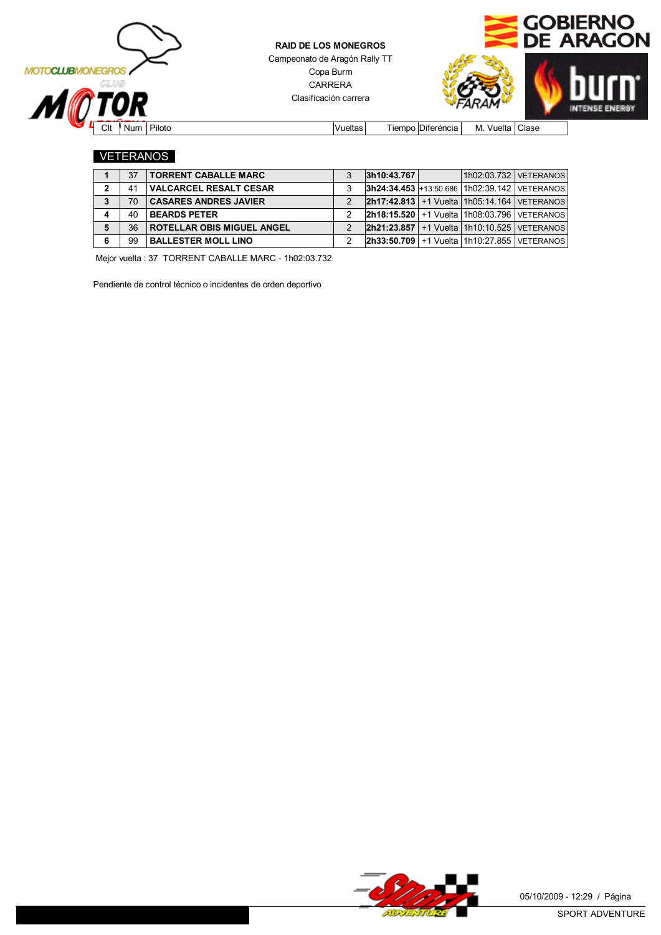



Clt Num Piloto Vueltas Tiempo Diferéncia M. Vuelta Clase

#### VETERANOS

|   | 37 | <b>TORRENT CABALLE MARC</b>       | 3h10:43.767                                             |  | 1h02:03.732   VETERANOS |
|---|----|-----------------------------------|---------------------------------------------------------|--|-------------------------|
| っ | 41 | <b>VALCARCEL RESALT CESAR</b>     | <b>3h24:34.453</b> +13:50.686   1h02:39.142   VETERANOS |  |                         |
| 3 | 70 | <b>CASARES ANDRES JAVIER</b>      | $ 2h17:42.813 +1$ Vuelta   1h05:14.164   VETERANOS      |  |                         |
|   | 40 | <b>BEARDS PETER</b>               | <b>2h18:15.520</b> +1 Vuelta 1h08:03.796 VETERANOS      |  |                         |
|   | 36 | <b>ROTELLAR OBIS MIGUEL ANGEL</b> | $2h21:23.857$ +1 Vuelta 1h10:10.525 VETERANOS           |  |                         |
|   | 99 | <b>BALLESTER MOLL LINO</b>        | $2h33:50.709$ +1 Vuelta 11h10:27.855 VETERANOS          |  |                         |

Mejor vuelta : 37 TORRENT CABALLE MARC - 1h02:03.732

Pendiente de control técnico o incidentes de orden deportivo

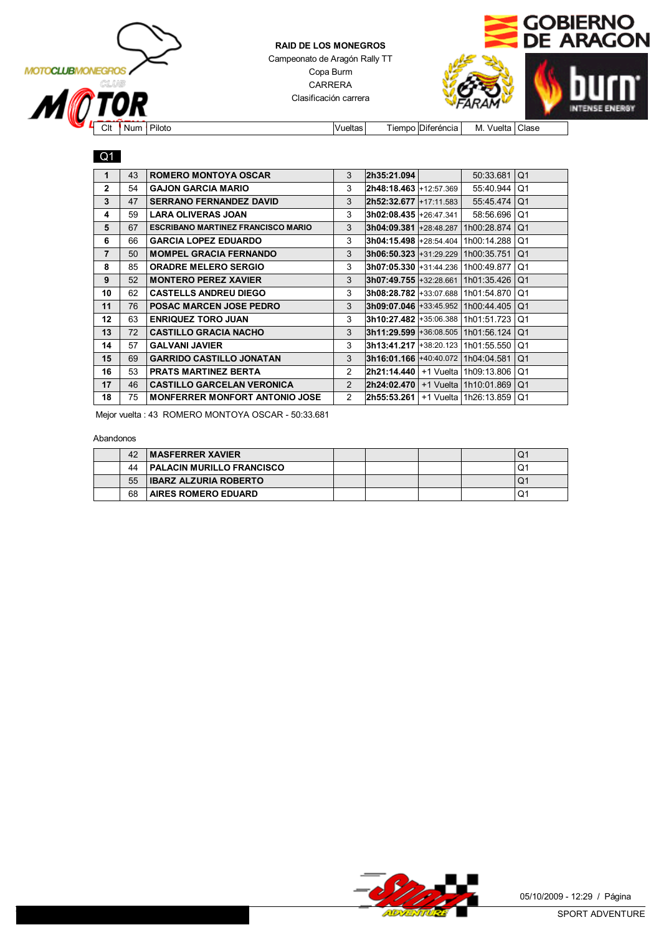



Clt Num Piloto **Vueltas** Tiempo Diferéncia M. Vuelta Clase

#### Q1

| 1              | 43 | <b>ROMERO MONTOYA OSCAR</b>               | 3              | 2h35:21.094                               |           | 50:33.681                                 | Q <sub>1</sub> |
|----------------|----|-------------------------------------------|----------------|-------------------------------------------|-----------|-------------------------------------------|----------------|
| $\mathbf{2}$   | 54 | <b>GAJON GARCIA MARIO</b>                 | 3              | 2h48:18.463 +12:57.369 l                  |           | 55:40.944                                 | Q <sub>1</sub> |
| 3              | 47 | <b>SERRANO FERNANDEZ DAVID</b>            | 3              | 2h52:32.677 +17:11.583                    |           | 55:45.474                                 | Q <sub>1</sub> |
| 4              | 59 | <b>LARA OLIVERAS JOAN</b>                 | 3              | 3h02:08.435 +26:47.341                    |           | 58:56.696                                 | Q1             |
| 5              | 67 | <b>ESCRIBANO MARTINEZ FRANCISCO MARIO</b> | 3              | 3h04:09.381 +28:48.287                    |           | 1h00:28.874                               | Q <sub>1</sub> |
| 6              | 66 | <b>GARCIA LOPEZ EDUARDO</b>               | 3              | 3h04:15.498 +28:54.404                    |           | 1h00:14.288                               | Q1             |
| $\overline{7}$ | 50 | <b>MOMPEL GRACIA FERNANDO</b>             | 3              | $3h06:50.323 + 31:29.229 + 1h00:35.751$   |           |                                           | Q <sub>1</sub> |
| 8              | 85 | <b>ORADRE MELERO SERGIO</b>               | 3              |                                           |           | 3h07:05.330 +31:44.236 1h00:49.877        | Q1             |
| 9              | 52 | <b>MONTERO PEREZ XAVIER</b>               | 3              |                                           |           | <b>3h07:49.755</b> +32:28.661 1h01:35.426 | Q <sub>1</sub> |
| 10             | 62 | <b>CASTELLS ANDREU DIEGO</b>              | 3              |                                           |           | <b>3h08:28.782</b> +33:07.688 1h01:54.870 | Q1             |
| 11             | 76 | <b>POSAC MARCEN JOSE PEDRO</b>            | 3              | $3h09:07.046$ +33:45.952 1h00:44.405      |           |                                           | Q <sub>1</sub> |
| 12             | 63 | <b>ENRIQUEZ TORO JUAN</b>                 | 3              |                                           |           | 3h10:27.482 +35:06.388   1h01:51.723      | Q1             |
| 13             | 72 | <b>CASTILLO GRACIA NACHO</b>              | 3              | <b>3h11:29.599</b> +36:08.505 1h01:56.124 |           |                                           | Q <sub>1</sub> |
| 14             | 57 | <b>GALVANI JAVIER</b>                     | 3              |                                           |           | 3h13:41.217 +38:20.123 1h01:55.550        | Q1             |
| 15             | 69 | <b>GARRIDO CASTILLO JONATAN</b>           | 3              | 3h16:01.166 +40:40.072 1h04:04.581        |           |                                           | Q <sub>1</sub> |
| 16             | 53 | <b>PRATS MARTINEZ BERTA</b>               | $\overline{2}$ | 2h21:14.440                               |           | +1 Vuelta   1h09:13.806                   | Q <sub>1</sub> |
| 17             | 46 | <b>CASTILLO GARCELAN VERONICA</b>         | 2              | 2h24:02.470                               | +1 Vuelta | 1h10:01.869                               | Q <sub>1</sub> |
| 18             | 75 | <b>MONFERRER MONFORT ANTONIO JOSE</b>     | $\overline{2}$ | 2h55:53.261                               |           | +1 Vuelta   1h26:13.859                   | Q1             |

Mejor vuelta : 43 ROMERO MONTOYA OSCAR - 50:33.681

#### Abandonos

| 42 | <b>MASFERRER XAVIER</b>          |  |  | w  |
|----|----------------------------------|--|--|----|
| 44 | <b>PALACIN MURILLO FRANCISCO</b> |  |  | U. |
| 55 | <b>IBARZ ALZURIA ROBERTO</b>     |  |  | O, |
| 68 | <b>AIRES ROMERO EDUARD</b>       |  |  | O  |

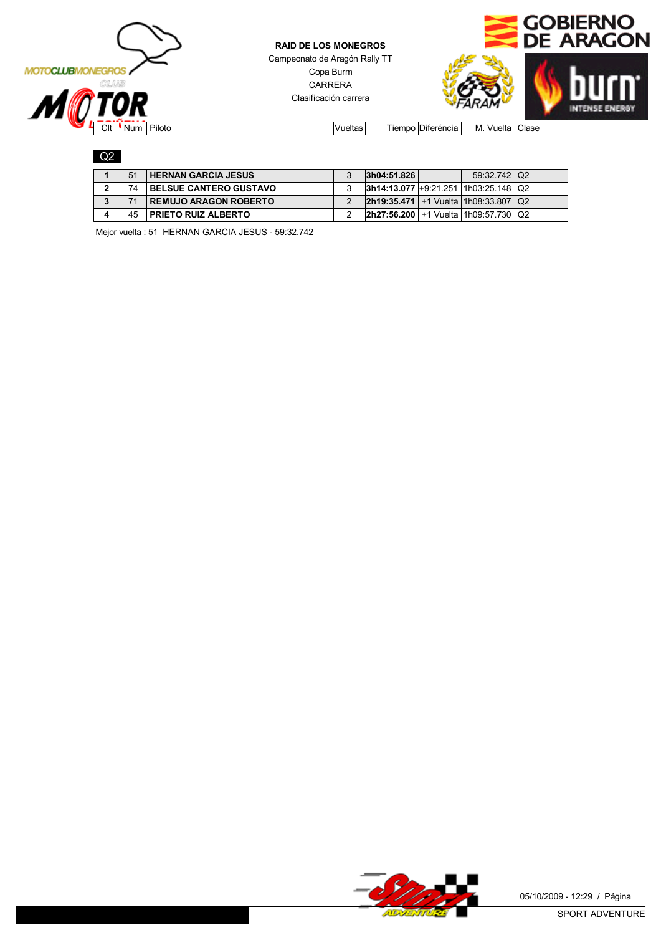



Q2

| 51 | <b>HERNAN GARCIA JESUS</b>    | 3h04:51.826                                   | 59:32.742   Q2 |  |
|----|-------------------------------|-----------------------------------------------|----------------|--|
| 74 | <b>BELSUE CANTERO GUSTAVO</b> | $ 3h14:13.077 +9.21.251 1h03:25.148 Q2$       |                |  |
|    | <b>REMUJO ARAGON ROBERTO</b>  | $2h19:35.471$ +1 Vuelta 1h08:33.807   Q2      |                |  |
| 45 | <b>PRIETO RUIZ ALBERTO</b>    | $ 2h27:56.200  + 1$ Vuelta   1h09:57.730   Q2 |                |  |

Mejor vuelta : 51 HERNAN GARCIA JESUS - 59:32.742